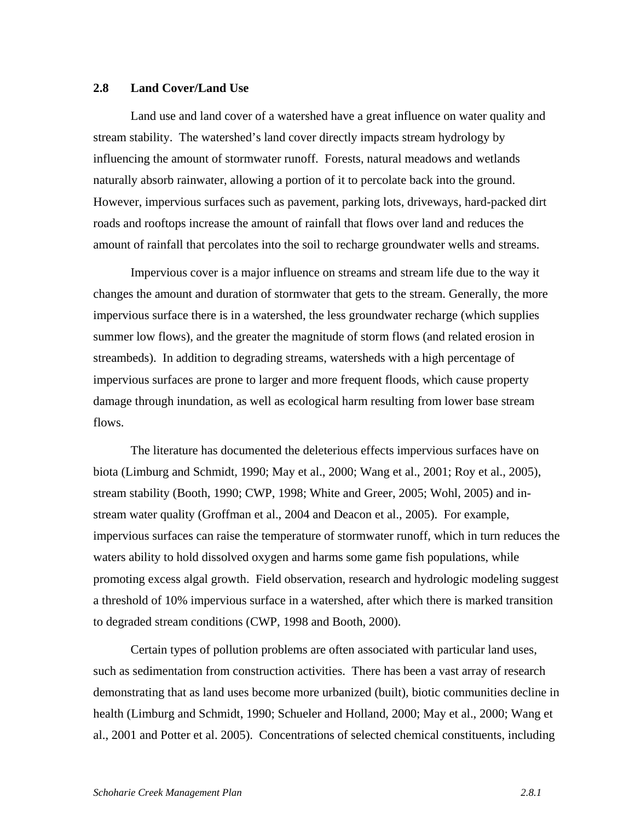## **2.8 Land Cover/Land Use**

Land use and land cover of a watershed have a great influence on water quality and stream stability. The watershed's land cover directly impacts stream hydrology by influencing the amount of stormwater runoff. Forests, natural meadows and wetlands naturally absorb rainwater, allowing a portion of it to percolate back into the ground. However, impervious surfaces such as pavement, parking lots, driveways, hard-packed dirt roads and rooftops increase the amount of rainfall that flows over land and reduces the amount of rainfall that percolates into the soil to recharge groundwater wells and streams.

Impervious cover is a major influence on streams and stream life due to the way it changes the amount and duration of stormwater that gets to the stream. Generally, the more impervious surface there is in a watershed, the less groundwater recharge (which supplies summer low flows), and the greater the magnitude of storm flows (and related erosion in streambeds). In addition to degrading streams, watersheds with a high percentage of impervious surfaces are prone to larger and more frequent floods, which cause property damage through inundation, as well as ecological harm resulting from lower base stream flows.

The literature has documented the deleterious effects impervious surfaces have on biota (Limburg and Schmidt, 1990; May et al., 2000; Wang et al., 2001; Roy et al., 2005), stream stability (Booth, 1990; CWP, 1998; White and Greer, 2005; Wohl, 2005) and instream water quality (Groffman et al., 2004 and Deacon et al., 2005). For example, impervious surfaces can raise the temperature of stormwater runoff, which in turn reduces the waters ability to hold dissolved oxygen and harms some game fish populations, while promoting excess algal growth. Field observation, research and hydrologic modeling suggest a threshold of 10% impervious surface in a watershed, after which there is marked transition to degraded stream conditions (CWP, 1998 and Booth, 2000).

 Certain types of pollution problems are often associated with particular land uses, such as sedimentation from construction activities. There has been a vast array of research demonstrating that as land uses become more urbanized (built), biotic communities decline in health (Limburg and Schmidt, 1990; Schueler and Holland, 2000; May et al., 2000; Wang et al., 2001 and Potter et al. 2005). Concentrations of selected chemical constituents, including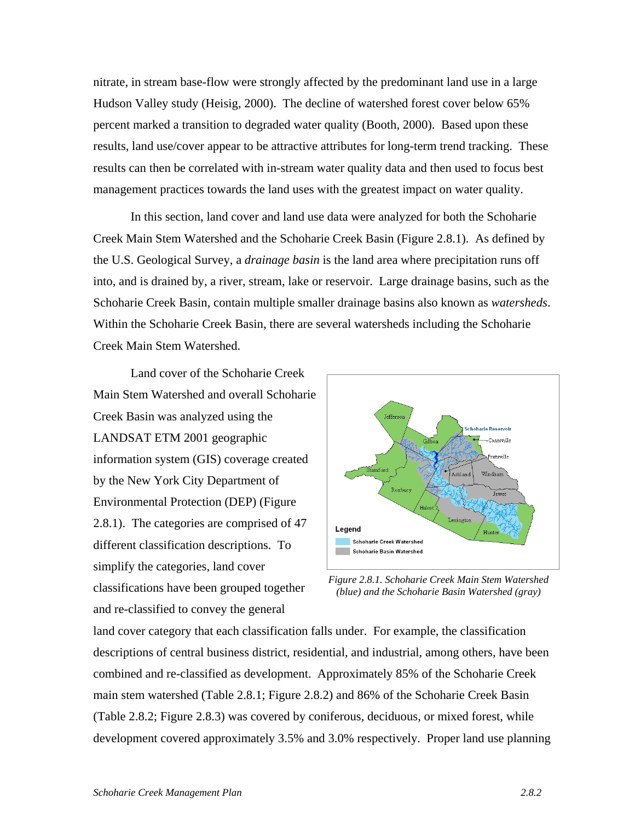nitrate, in stream base-flow were strongly affected by the predominant land use in a large Hudson Valley study (Heisig, 2000). The decline of watershed forest cover below 65% percent marked a transition to degraded water quality (Booth, 2000). Based upon these results, land use/cover appear to be attractive attributes for long-term trend tracking. These results can then be correlated with in-stream water quality data and then used to focus best management practices towards the land uses with the greatest impact on water quality.

 In this section, land cover and land use data were analyzed for both the Schoharie Creek Main Stem Watershed and the Schoharie Creek Basin (Figure 2.8.1). As defined by the U.S. Geological Survey, a *drainage basin* is the land area where precipitation runs off into, and is drained by, a river, stream, lake or reservoir. Large drainage basins, such as the Schoharie Creek Basin, contain multiple smaller drainage basins also known as *watersheds*. Within the Schoharie Creek Basin, there are several watersheds including the Schoharie Creek Main Stem Watershed.

Land cover of the Schoharie Creek Main Stem Watershed and overall Schoharie Creek Basin was analyzed using the LANDSAT ETM 2001 geographic information system (GIS) coverage created by the New York City Department of Environmental Protection (DEP) (Figure 2.8.1). The categories are comprised of 47 different classification descriptions. To simplify the categories, land cover classifications have been grouped together and re-classified to convey the general



*Figure 2.8.1. Schoharie Creek Main Stem Watershed (blue) and the Schoharie Basin Watershed (gray)* 

land cover category that each classification falls under. For example, the classification descriptions of central business district, residential, and industrial, among others, have been combined and re-classified as development. Approximately 85% of the Schoharie Creek main stem watershed (Table 2.8.1; Figure 2.8.2) and 86% of the Schoharie Creek Basin (Table 2.8.2; Figure 2.8.3) was covered by coniferous, deciduous, or mixed forest, while development covered approximately 3.5% and 3.0% respectively. Proper land use planning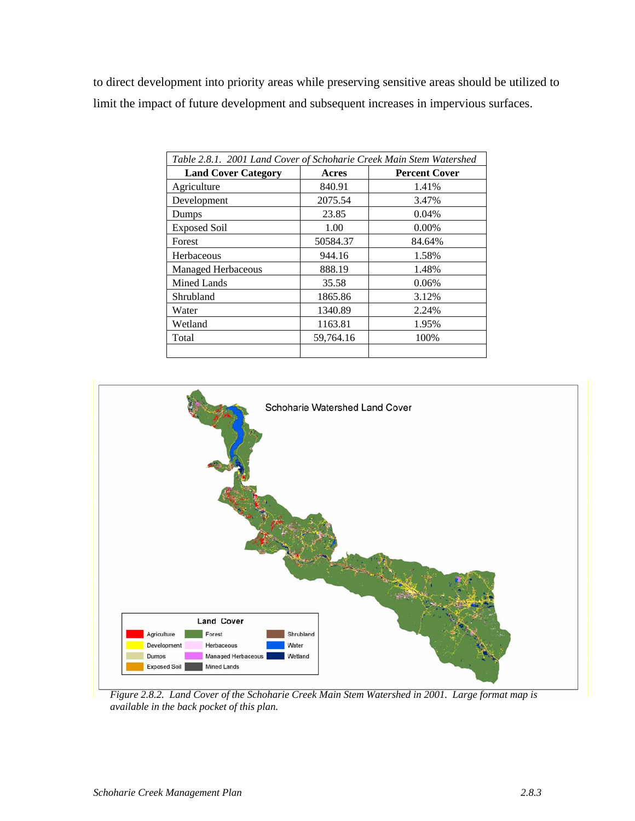to direct development into priority areas while preserving sensitive areas should be utilized to limit the impact of future development and subsequent increases in impervious surfaces.

| Table 2.8.1. 2001 Land Cover of Schoharie Creek Main Stem Watershed |           |                      |  |  |  |
|---------------------------------------------------------------------|-----------|----------------------|--|--|--|
| <b>Land Cover Category</b>                                          | Acres     | <b>Percent Cover</b> |  |  |  |
| Agriculture                                                         | 840.91    | 1.41%                |  |  |  |
| Development                                                         | 2075.54   | 3.47%                |  |  |  |
| Dumps                                                               | 23.85     | 0.04%                |  |  |  |
| <b>Exposed Soil</b>                                                 | 1.00      | $0.00\%$             |  |  |  |
| Forest                                                              | 50584.37  | 84.64%               |  |  |  |
| Herbaceous                                                          | 944.16    | 1.58%                |  |  |  |
| <b>Managed Herbaceous</b>                                           | 888.19    | 1.48%                |  |  |  |
| <b>Mined Lands</b>                                                  | 35.58     | 0.06%                |  |  |  |
| Shrubland                                                           | 1865.86   | 3.12%                |  |  |  |
| Water                                                               | 1340.89   | 2.24%                |  |  |  |
| Wetland                                                             | 1163.81   | 1.95%                |  |  |  |
| Total                                                               | 59,764.16 | 100%                 |  |  |  |
|                                                                     |           |                      |  |  |  |



*Figure 2.8.2. Land Cover of the Schoharie Creek Main Stem Watershed in 2001. Large format map is available in the back pocket of this plan.*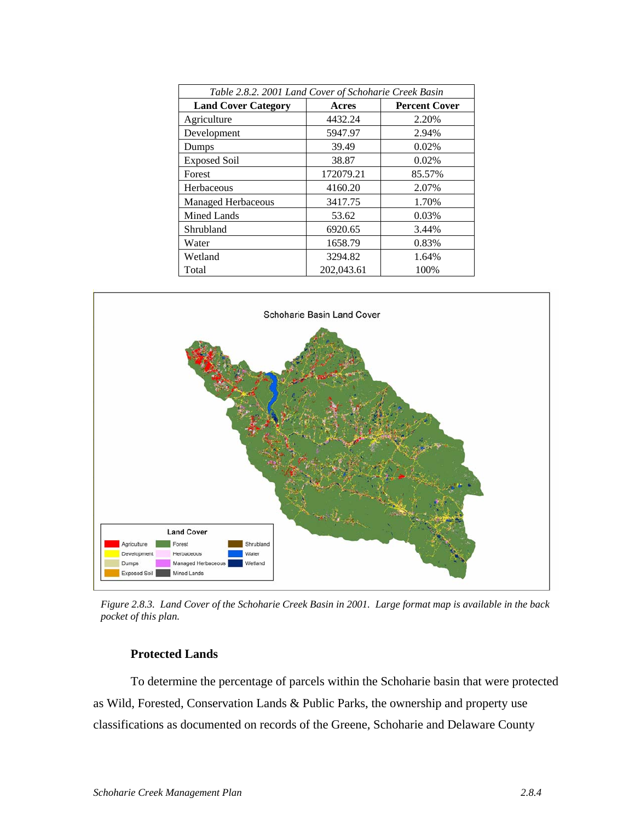| Table 2.8.2. 2001 Land Cover of Schoharie Creek Basin |            |                      |  |  |  |
|-------------------------------------------------------|------------|----------------------|--|--|--|
| <b>Land Cover Category</b>                            | Acres      | <b>Percent Cover</b> |  |  |  |
| Agriculture                                           | 4432.24    | 2.20%                |  |  |  |
| Development                                           | 5947.97    | 2.94%                |  |  |  |
| Dumps                                                 | 39.49      | 0.02%                |  |  |  |
| <b>Exposed Soil</b>                                   | 38.87      | 0.02%                |  |  |  |
| Forest                                                | 172079.21  | 85.57%               |  |  |  |
| Herbaceous                                            | 4160.20    | 2.07%                |  |  |  |
| <b>Managed Herbaceous</b>                             | 3417.75    | 1.70%                |  |  |  |
| <b>Mined Lands</b>                                    | 53.62      | 0.03%                |  |  |  |
| Shrubland                                             | 6920.65    | 3.44%                |  |  |  |
| Water                                                 | 1658.79    | 0.83%                |  |  |  |
| Wetland                                               | 3294.82    | 1.64%                |  |  |  |
| Total                                                 | 202,043.61 | 100%                 |  |  |  |



*Figure 2.8.3. Land Cover of the Schoharie Creek Basin in 2001. Large format map is available in the back pocket of this plan.* 

## **Protected Lands**

To determine the percentage of parcels within the Schoharie basin that were protected as Wild, Forested, Conservation Lands & Public Parks, the ownership and property use classifications as documented on records of the Greene, Schoharie and Delaware County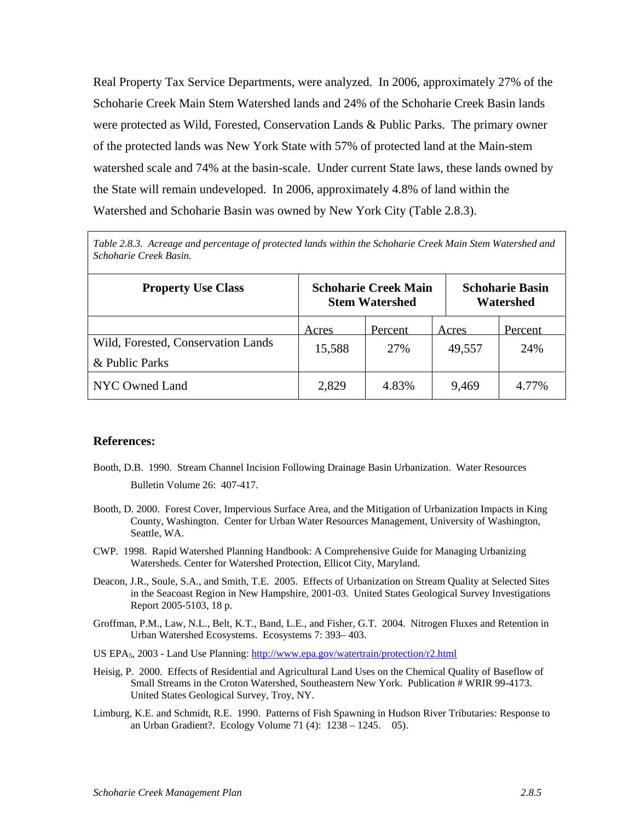Real Property Tax Service Departments, were analyzed. In 2006, approximately 27% of the Schoharie Creek Main Stem Watershed lands and 24% of the Schoharie Creek Basin lands were protected as Wild, Forested, Conservation Lands & Public Parks. The primary owner of the protected lands was New York State with 57% of protected land at the Main-stem watershed scale and 74% at the basin-scale. Under current State laws, these lands owned by the State will remain undeveloped. In 2006, approximately 4.8% of land within the Watershed and Schoharie Basin was owned by New York City (Table 2.8.3).

*Table 2.8.3. Acreage and percentage of protected lands within the Schoharie Creek Main Stem Watershed and Schoharie Creek Basin.* 

| <b>Property Use Class</b>          | <b>Schoharie Creek Main</b><br><b>Stem Watershed</b> |                |                 | <b>Schoharie Basin</b><br>Watershed |  |
|------------------------------------|------------------------------------------------------|----------------|-----------------|-------------------------------------|--|
| Wild, Forested, Conservation Lands | Acres<br>15,588                                      | Percent<br>27% | Acres<br>49,557 | Percent<br>24%                      |  |
| & Public Parks                     |                                                      |                |                 |                                     |  |
| NYC Owned Land                     | 2,829                                                | 4.83%          | 9,469           | 4.77%                               |  |

## **References:**

- Booth, D.B. 1990. Stream Channel Incision Following Drainage Basin Urbanization. Water Resources Bulletin Volume 26: 407-417.
- Booth, D. 2000. Forest Cover, Impervious Surface Area, and the Mitigation of Urbanization Impacts in King County, Washington. Center for Urban Water Resources Management, University of Washington, Seattle, WA.
- CWP. 1998. Rapid Watershed Planning Handbook: A Comprehensive Guide for Managing Urbanizing Watersheds. Center for Watershed Protection, Ellicot City, Maryland.
- Deacon, J.R., Soule, S.A., and Smith, T.E. 2005. Effects of Urbanization on Stream Quality at Selected Sites in the Seacoast Region in New Hampshire, 2001-03. United States Geological Survey Investigations Report 2005-5103, 18 p.
- Groffman, P.M., Law, N.L., Belt, K.T., Band, L.E., and Fisher, G.T. 2004. Nitrogen Fluxes and Retention in Urban Watershed Ecosystems. Ecosystems 7: 393– 403.
- US EPA5, 2003 Land Use Planning: http://www.epa.gov/watertrain/protection/r2.html
- Heisig, P. 2000. Effects of Residential and Agricultural Land Uses on the Chemical Quality of Baseflow of Small Streams in the Croton Watershed, Southeastern New York. Publication # WRIR 99-4173. United States Geological Survey, Troy, NY.
- Limburg, K.E. and Schmidt, R.E. 1990. Patterns of Fish Spawning in Hudson River Tributaries: Response to an Urban Gradient?. Ecology Volume 71 (4): 1238 – 1245. 05).